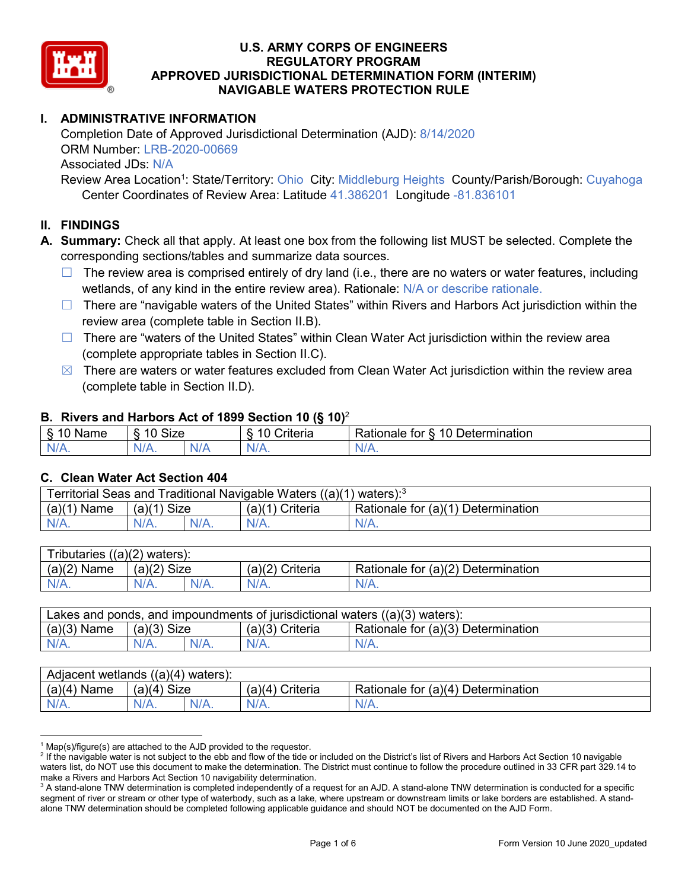

# **I. ADMINISTRATIVE INFORMATION**

Completion Date of Approved Jurisdictional Determination (AJD): 8/14/2020 ORM Number: LRB-2020-00669 Associated JDs: N/A

Review Area Location<sup>1</sup>: State/Territory: Ohio City: Middleburg Heights County/Parish/Borough: Cuyahoga Center Coordinates of Review Area: Latitude 41.386201 Longitude -81.836101

#### **II. FINDINGS**

**A. Summary:** Check all that apply. At least one box from the following list MUST be selected. Complete the corresponding sections/tables and summarize data sources.

- $\Box$  The review area is comprised entirely of dry land (i.e., there are no waters or water features, including wetlands, of any kind in the entire review area). Rationale: N/A or describe rationale.
- $\Box$  There are "navigable waters of the United States" within Rivers and Harbors Act jurisdiction within the review area (complete table in Section II.B).
- $\Box$  There are "waters of the United States" within Clean Water Act jurisdiction within the review area (complete appropriate tables in Section II.C).
- $\boxtimes$  There are waters or water features excluded from Clean Water Act jurisdiction within the review area (complete table in Section II.D).

#### **B. Rivers and Harbors Act of 1899 Section 10 (§ 10)**<sup>2</sup>

| $\cdot$                          |                   |                       |                                     |                                                                           |  |  |  |  |
|----------------------------------|-------------------|-----------------------|-------------------------------------|---------------------------------------------------------------------------|--|--|--|--|
| $\sim$<br>$-1$ on the $-$<br>ане | <b>Size</b><br>10 |                       | $\mathbf{r}$<br>10<br>-<br>;riteria | $\overline{\phantom{0}}$<br>$\Delta$<br>Jetermination<br>tor<br>≺ationaie |  |  |  |  |
| $N/A$ .                          | 'N/A.             | $\blacksquare$<br>N/r | $N$ /                               | 'N/A.                                                                     |  |  |  |  |

#### **C. Clean Water Act Section 404**

| Territorial Seas and Traditional Navigable Waters ((a)(1)<br>waters): <sup>3</sup> |                |  |                   |                                    |  |  |  |
|------------------------------------------------------------------------------------|----------------|--|-------------------|------------------------------------|--|--|--|
| (a)(1)<br>Name                                                                     | Size<br>(a)(1) |  | (a)(1<br>Criteria | Rationale for (a)(1) Determination |  |  |  |
|                                                                                    | $N/A$ .        |  | $N/A$ .           | $N/A$ .                            |  |  |  |

| Tributaries<br>$((a)(2)$ waters): |                |         |                    |                                    |  |  |  |
|-----------------------------------|----------------|---------|--------------------|------------------------------------|--|--|--|
| (a)(2)<br>Name                    | (a)(2)<br>Size |         | (a)(2)<br>Criteria | Rationale for (a)(2) Determination |  |  |  |
| $N/A$ .                           | $N/A$ .        | $N/A$ . | $N/A$ .            | N/A.                               |  |  |  |

| Lakes and ponds, and impoundments of jurisdictional waters $((a)(3)$ waters): |               |  |                   |                                    |  |  |
|-------------------------------------------------------------------------------|---------------|--|-------------------|------------------------------------|--|--|
| $(a)(3)$ Name                                                                 | $(a)(3)$ Size |  | $(a)(3)$ Criteria | Rationale for (a)(3) Determination |  |  |
| $N/A$ .                                                                       | $N/A$ .       |  | $N/A$ .           | $N/A$ .                            |  |  |

| Adjacent wetlands $((a)(4)$ waters): |                    |  |                   |                                    |  |  |
|--------------------------------------|--------------------|--|-------------------|------------------------------------|--|--|
| $(a)(4)$ Name                        | Size<br>(a)(4)     |  | $(a)(4)$ Criteria | Rationale for (a)(4) Determination |  |  |
| $N/A$ .                              | $N/A$ .<br>$N/A$ . |  | $N/A$ .           | $N/A$ .                            |  |  |

 $1$  Map(s)/figure(s) are attached to the AJD provided to the requestor.

<sup>&</sup>lt;sup>2</sup> If the navigable water is not subject to the ebb and flow of the tide or included on the District's list of Rivers and Harbors Act Section 10 navigable waters list, do NOT use this document to make the determination. The District must continue to follow the procedure outlined in 33 CFR part 329.14 to make a Rivers and Harbors Act Section 10 navigability determination.

 $3$  A stand-alone TNW determination is completed independently of a request for an AJD. A stand-alone TNW determination is conducted for a specific segment of river or stream or other type of waterbody, such as a lake, where upstream or downstream limits or lake borders are established. A standalone TNW determination should be completed following applicable guidance and should NOT be documented on the AJD Form.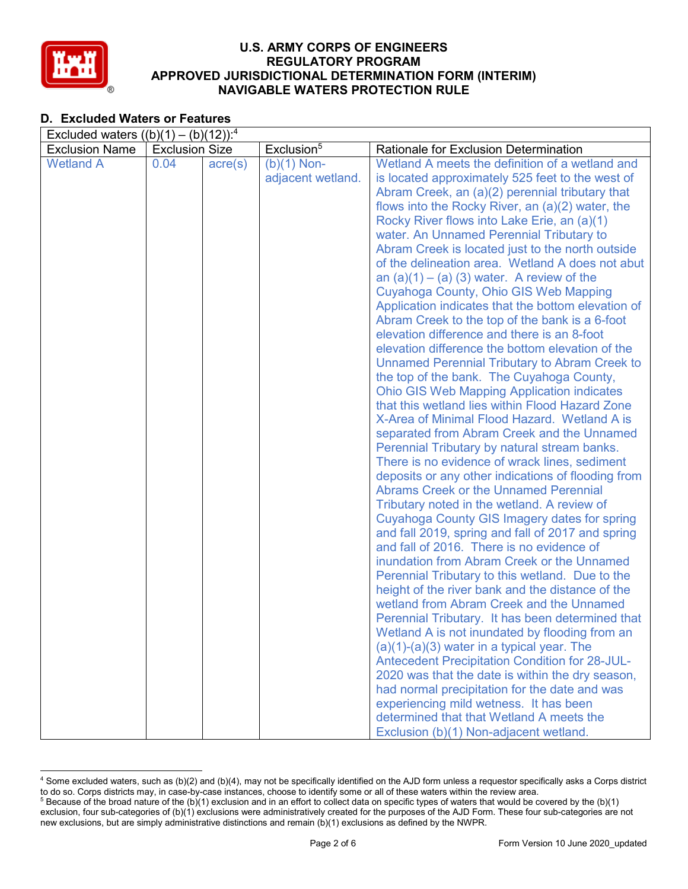

# **D. Excluded Waters or Features**

|                       | Excluded waters $((b)(1) - (b)(12))$ : <sup>4</sup> |                  |                        |                                                                                                |  |  |  |
|-----------------------|-----------------------------------------------------|------------------|------------------------|------------------------------------------------------------------------------------------------|--|--|--|
| <b>Exclusion Name</b> | <b>Exclusion Size</b>                               |                  | Exclusion <sup>5</sup> | Rationale for Exclusion Determination                                                          |  |  |  |
| <b>Wetland A</b>      | 0.04                                                | $\text{acre}(s)$ | $(b)(1)$ Non-          | Wetland A meets the definition of a wetland and                                                |  |  |  |
|                       |                                                     |                  | adjacent wetland.      | is located approximately 525 feet to the west of                                               |  |  |  |
|                       |                                                     |                  |                        | Abram Creek, an (a)(2) perennial tributary that                                                |  |  |  |
|                       |                                                     |                  |                        | flows into the Rocky River, an (a)(2) water, the                                               |  |  |  |
|                       |                                                     |                  |                        | Rocky River flows into Lake Erie, an (a)(1)                                                    |  |  |  |
|                       |                                                     |                  |                        | water. An Unnamed Perennial Tributary to                                                       |  |  |  |
|                       |                                                     |                  |                        | Abram Creek is located just to the north outside                                               |  |  |  |
|                       |                                                     |                  |                        | of the delineation area. Wetland A does not abut                                               |  |  |  |
|                       |                                                     |                  |                        | an $(a)(1) - (a)(3)$ water. A review of the                                                    |  |  |  |
|                       |                                                     |                  |                        | Cuyahoga County, Ohio GIS Web Mapping                                                          |  |  |  |
|                       |                                                     |                  |                        | Application indicates that the bottom elevation of                                             |  |  |  |
|                       |                                                     |                  |                        | Abram Creek to the top of the bank is a 6-foot                                                 |  |  |  |
|                       |                                                     |                  |                        | elevation difference and there is an 8-foot                                                    |  |  |  |
|                       |                                                     |                  |                        | elevation difference the bottom elevation of the                                               |  |  |  |
|                       |                                                     |                  |                        | <b>Unnamed Perennial Tributary to Abram Creek to</b>                                           |  |  |  |
|                       |                                                     |                  |                        | the top of the bank. The Cuyahoga County,                                                      |  |  |  |
|                       |                                                     |                  |                        | <b>Ohio GIS Web Mapping Application indicates</b>                                              |  |  |  |
|                       |                                                     |                  |                        | that this wetland lies within Flood Hazard Zone                                                |  |  |  |
|                       |                                                     |                  |                        | X-Area of Minimal Flood Hazard. Wetland A is                                                   |  |  |  |
|                       |                                                     |                  |                        | separated from Abram Creek and the Unnamed                                                     |  |  |  |
|                       |                                                     |                  |                        | Perennial Tributary by natural stream banks.                                                   |  |  |  |
|                       |                                                     |                  |                        | There is no evidence of wrack lines, sediment                                                  |  |  |  |
|                       |                                                     |                  |                        | deposits or any other indications of flooding from                                             |  |  |  |
|                       |                                                     |                  |                        | <b>Abrams Creek or the Unnamed Perennial</b>                                                   |  |  |  |
|                       |                                                     |                  |                        | Tributary noted in the wetland. A review of                                                    |  |  |  |
|                       |                                                     |                  |                        | <b>Cuyahoga County GIS Imagery dates for spring</b>                                            |  |  |  |
|                       |                                                     |                  |                        | and fall 2019, spring and fall of 2017 and spring<br>and fall of 2016. There is no evidence of |  |  |  |
|                       |                                                     |                  |                        | inundation from Abram Creek or the Unnamed                                                     |  |  |  |
|                       |                                                     |                  |                        | Perennial Tributary to this wetland. Due to the                                                |  |  |  |
|                       |                                                     |                  |                        | height of the river bank and the distance of the                                               |  |  |  |
|                       |                                                     |                  |                        | wetland from Abram Creek and the Unnamed                                                       |  |  |  |
|                       |                                                     |                  |                        | Perennial Tributary. It has been determined that                                               |  |  |  |
|                       |                                                     |                  |                        | Wetland A is not inundated by flooding from an                                                 |  |  |  |
|                       |                                                     |                  |                        | $(a)(1)-(a)(3)$ water in a typical year. The                                                   |  |  |  |
|                       |                                                     |                  |                        | <b>Antecedent Precipitation Condition for 28-JUL-</b>                                          |  |  |  |
|                       |                                                     |                  |                        | 2020 was that the date is within the dry season,                                               |  |  |  |
|                       |                                                     |                  |                        | had normal precipitation for the date and was                                                  |  |  |  |
|                       |                                                     |                  |                        | experiencing mild wetness. It has been                                                         |  |  |  |
|                       |                                                     |                  |                        | determined that that Wetland A meets the                                                       |  |  |  |
|                       |                                                     |                  |                        | Exclusion (b)(1) Non-adjacent wetland.                                                         |  |  |  |

 <sup>4</sup> Some excluded waters, such as (b)(2) and (b)(4), may not be specifically identified on the AJD form unless a requestor specifically asks a Corps district to do so. Corps districts may, in case-by-case instances, choose to identify some or all of these waters within the review area. <sup>5</sup> Because of the broad nature of the (b)(1) exclusion and in an effort to collect data on specific types of waters that would be covered by the (b)(1)

exclusion, four sub-categories of (b)(1) exclusions were administratively created for the purposes of the AJD Form. These four sub-categories are not new exclusions, but are simply administrative distinctions and remain (b)(1) exclusions as defined by the NWPR.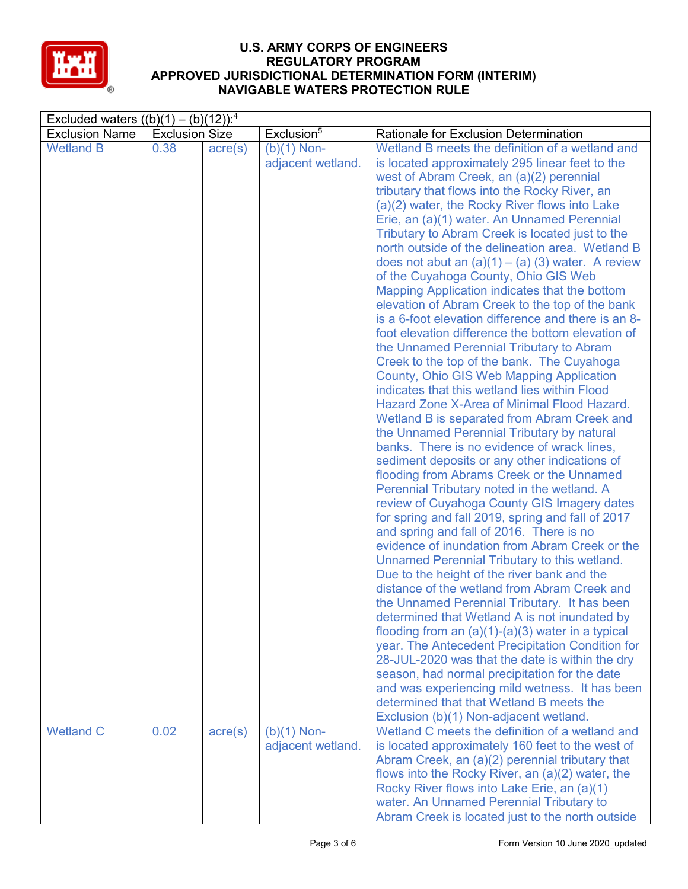

| Excluded waters $((b)(1) - (b)(12))$ : <sup>4</sup> |                       |                  |                        |                                                     |  |  |
|-----------------------------------------------------|-----------------------|------------------|------------------------|-----------------------------------------------------|--|--|
| <b>Exclusion Name</b>                               | <b>Exclusion Size</b> |                  | Exclusion <sup>5</sup> | Rationale for Exclusion Determination               |  |  |
| <b>Wetland B</b>                                    | 0.38                  | $\text{acre}(s)$ | $(b)(1)$ Non-          | Wetland B meets the definition of a wetland and     |  |  |
|                                                     |                       |                  | adjacent wetland.      | is located approximately 295 linear feet to the     |  |  |
|                                                     |                       |                  |                        | west of Abram Creek, an (a)(2) perennial            |  |  |
|                                                     |                       |                  |                        | tributary that flows into the Rocky River, an       |  |  |
|                                                     |                       |                  |                        | (a)(2) water, the Rocky River flows into Lake       |  |  |
|                                                     |                       |                  |                        | Erie, an (a)(1) water. An Unnamed Perennial         |  |  |
|                                                     |                       |                  |                        | Tributary to Abram Creek is located just to the     |  |  |
|                                                     |                       |                  |                        | north outside of the delineation area. Wetland B    |  |  |
|                                                     |                       |                  |                        | does not abut an $(a)(1) - (a)(3)$ water. A review  |  |  |
|                                                     |                       |                  |                        | of the Cuyahoga County, Ohio GIS Web                |  |  |
|                                                     |                       |                  |                        | Mapping Application indicates that the bottom       |  |  |
|                                                     |                       |                  |                        | elevation of Abram Creek to the top of the bank     |  |  |
|                                                     |                       |                  |                        | is a 6-foot elevation difference and there is an 8- |  |  |
|                                                     |                       |                  |                        | foot elevation difference the bottom elevation of   |  |  |
|                                                     |                       |                  |                        | the Unnamed Perennial Tributary to Abram            |  |  |
|                                                     |                       |                  |                        | Creek to the top of the bank. The Cuyahoga          |  |  |
|                                                     |                       |                  |                        | County, Ohio GIS Web Mapping Application            |  |  |
|                                                     |                       |                  |                        | indicates that this wetland lies within Flood       |  |  |
|                                                     |                       |                  |                        | Hazard Zone X-Area of Minimal Flood Hazard.         |  |  |
|                                                     |                       |                  |                        | Wetland B is separated from Abram Creek and         |  |  |
|                                                     |                       |                  |                        | the Unnamed Perennial Tributary by natural          |  |  |
|                                                     |                       |                  |                        | banks. There is no evidence of wrack lines,         |  |  |
|                                                     |                       |                  |                        | sediment deposits or any other indications of       |  |  |
|                                                     |                       |                  |                        | flooding from Abrams Creek or the Unnamed           |  |  |
|                                                     |                       |                  |                        | Perennial Tributary noted in the wetland. A         |  |  |
|                                                     |                       |                  |                        | review of Cuyahoga County GIS Imagery dates         |  |  |
|                                                     |                       |                  |                        | for spring and fall 2019, spring and fall of 2017   |  |  |
|                                                     |                       |                  |                        | and spring and fall of 2016. There is no            |  |  |
|                                                     |                       |                  |                        | evidence of inundation from Abram Creek or the      |  |  |
|                                                     |                       |                  |                        | Unnamed Perennial Tributary to this wetland.        |  |  |
|                                                     |                       |                  |                        | Due to the height of the river bank and the         |  |  |
|                                                     |                       |                  |                        | distance of the wetland from Abram Creek and        |  |  |
|                                                     |                       |                  |                        | the Unnamed Perennial Tributary. It has been        |  |  |
|                                                     |                       |                  |                        | determined that Wetland A is not inundated by       |  |  |
|                                                     |                       |                  |                        | flooding from an $(a)(1)-(a)(3)$ water in a typical |  |  |
|                                                     |                       |                  |                        | year. The Antecedent Precipitation Condition for    |  |  |
|                                                     |                       |                  |                        | 28-JUL-2020 was that the date is within the dry     |  |  |
|                                                     |                       |                  |                        | season, had normal precipitation for the date       |  |  |
|                                                     |                       |                  |                        | and was experiencing mild wetness. It has been      |  |  |
|                                                     |                       |                  |                        | determined that that Wetland B meets the            |  |  |
|                                                     |                       |                  |                        | Exclusion (b)(1) Non-adjacent wetland.              |  |  |
| <b>Wetland C</b>                                    | 0.02                  | $\text{acre}(s)$ | $(b)(1)$ Non-          | Wetland C meets the definition of a wetland and     |  |  |
|                                                     |                       |                  | adjacent wetland.      | is located approximately 160 feet to the west of    |  |  |
|                                                     |                       |                  |                        | Abram Creek, an (a)(2) perennial tributary that     |  |  |
|                                                     |                       |                  |                        | flows into the Rocky River, an (a)(2) water, the    |  |  |
|                                                     |                       |                  |                        | Rocky River flows into Lake Erie, an (a)(1)         |  |  |
|                                                     |                       |                  |                        | water. An Unnamed Perennial Tributary to            |  |  |
|                                                     |                       |                  |                        | Abram Creek is located just to the north outside    |  |  |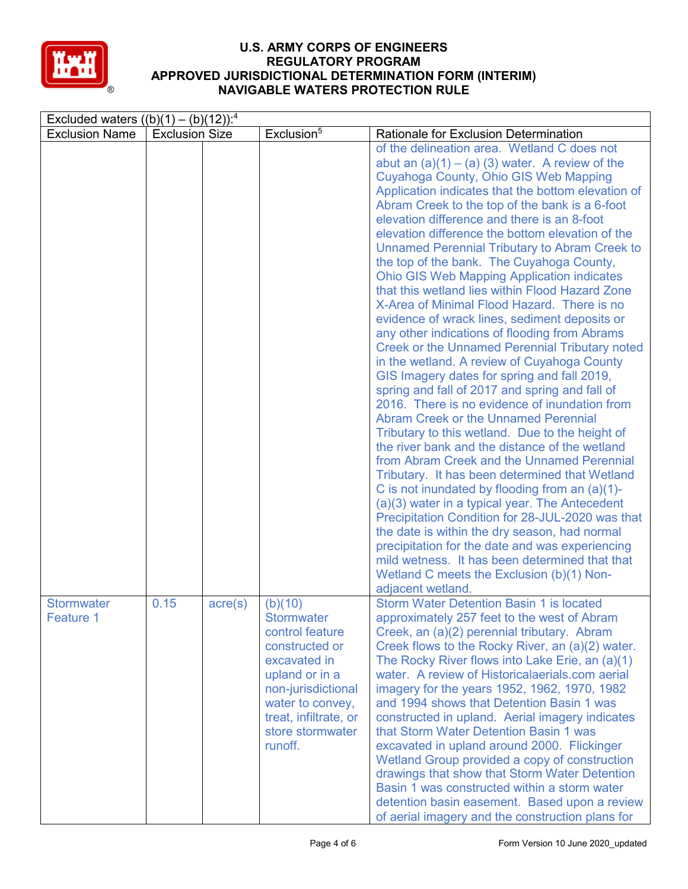

| Excluded waters $((b)(1) - (b)(12))$ : <sup>4</sup> |                       |         |                                                                                                                                                                                                       |                                                                                                                                                                                                                                                                                                                                                                                                                                                                                                                                                                                                                                                                                                                                                                                                                                                                                                                                                                                                                                                                                                                                                                                                                                                                                                                                                                                                                                                                                                                                                                                                                    |  |  |  |  |
|-----------------------------------------------------|-----------------------|---------|-------------------------------------------------------------------------------------------------------------------------------------------------------------------------------------------------------|--------------------------------------------------------------------------------------------------------------------------------------------------------------------------------------------------------------------------------------------------------------------------------------------------------------------------------------------------------------------------------------------------------------------------------------------------------------------------------------------------------------------------------------------------------------------------------------------------------------------------------------------------------------------------------------------------------------------------------------------------------------------------------------------------------------------------------------------------------------------------------------------------------------------------------------------------------------------------------------------------------------------------------------------------------------------------------------------------------------------------------------------------------------------------------------------------------------------------------------------------------------------------------------------------------------------------------------------------------------------------------------------------------------------------------------------------------------------------------------------------------------------------------------------------------------------------------------------------------------------|--|--|--|--|
| <b>Exclusion Name</b>                               | <b>Exclusion Size</b> |         | Exclusion <sup>5</sup>                                                                                                                                                                                | <b>Rationale for Exclusion Determination</b>                                                                                                                                                                                                                                                                                                                                                                                                                                                                                                                                                                                                                                                                                                                                                                                                                                                                                                                                                                                                                                                                                                                                                                                                                                                                                                                                                                                                                                                                                                                                                                       |  |  |  |  |
|                                                     |                       |         |                                                                                                                                                                                                       | of the delineation area. Wetland C does not<br>abut an $(a)(1) - (a)(3)$ water. A review of the<br>Cuyahoga County, Ohio GIS Web Mapping<br>Application indicates that the bottom elevation of<br>Abram Creek to the top of the bank is a 6-foot<br>elevation difference and there is an 8-foot<br>elevation difference the bottom elevation of the<br><b>Unnamed Perennial Tributary to Abram Creek to</b><br>the top of the bank. The Cuyahoga County,<br><b>Ohio GIS Web Mapping Application indicates</b><br>that this wetland lies within Flood Hazard Zone<br>X-Area of Minimal Flood Hazard. There is no<br>evidence of wrack lines, sediment deposits or<br>any other indications of flooding from Abrams<br><b>Creek or the Unnamed Perennial Tributary noted</b><br>in the wetland. A review of Cuyahoga County<br>GIS Imagery dates for spring and fall 2019,<br>spring and fall of 2017 and spring and fall of<br>2016. There is no evidence of inundation from<br><b>Abram Creek or the Unnamed Perennial</b><br>Tributary to this wetland. Due to the height of<br>the river bank and the distance of the wetland<br>from Abram Creek and the Unnamed Perennial<br>Tributary. It has been determined that Wetland<br>C is not inundated by flooding from an $(a)(1)$ -<br>(a)(3) water in a typical year. The Antecedent<br>Precipitation Condition for 28-JUL-2020 was that<br>the date is within the dry season, had normal<br>precipitation for the date and was experiencing<br>mild wetness. It has been determined that that<br>Wetland C meets the Exclusion (b)(1) Non-<br>adjacent wetland. |  |  |  |  |
| <b>Stormwater</b><br>Feature 1                      | 0.15                  | acre(s) | (b)(10)<br><b>Stormwater</b><br>control feature<br>constructed or<br>excavated in<br>upland or in a<br>non-jurisdictional<br>water to convey,<br>treat, infiltrate, or<br>store stormwater<br>runoff. | <b>Storm Water Detention Basin 1 is located</b><br>approximately 257 feet to the west of Abram<br>Creek, an (a)(2) perennial tributary. Abram<br>Creek flows to the Rocky River, an (a)(2) water.<br>The Rocky River flows into Lake Erie, an (a)(1)<br>water. A review of Historicalaerials.com aerial<br>imagery for the years 1952, 1962, 1970, 1982<br>and 1994 shows that Detention Basin 1 was<br>constructed in upland. Aerial imagery indicates<br>that Storm Water Detention Basin 1 was<br>excavated in upland around 2000. Flickinger<br>Wetland Group provided a copy of construction<br>drawings that show that Storm Water Detention<br>Basin 1 was constructed within a storm water<br>detention basin easement. Based upon a review<br>of aerial imagery and the construction plans for                                                                                                                                                                                                                                                                                                                                                                                                                                                                                                                                                                                                                                                                                                                                                                                                            |  |  |  |  |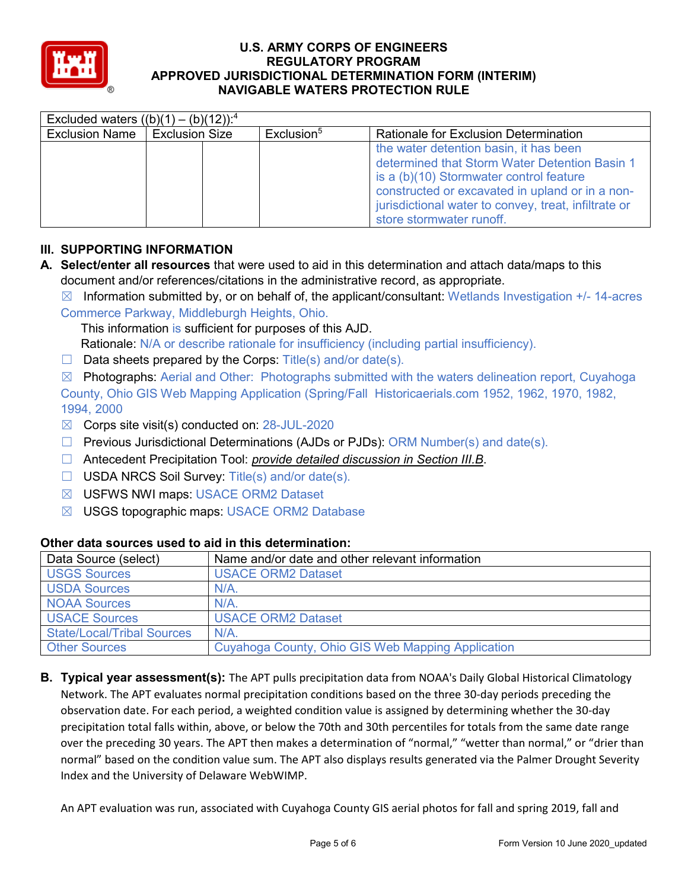

| Excluded waters $((b)(1) - (b)(12))$ : <sup>4</sup> |                       |  |                        |                                                                                                                                                                                                                                               |  |  |  |  |
|-----------------------------------------------------|-----------------------|--|------------------------|-----------------------------------------------------------------------------------------------------------------------------------------------------------------------------------------------------------------------------------------------|--|--|--|--|
| <b>Exclusion Name</b>                               | <b>Exclusion Size</b> |  | Exclusion <sup>5</sup> | <b>Rationale for Exclusion Determination</b>                                                                                                                                                                                                  |  |  |  |  |
|                                                     |                       |  |                        | the water detention basin, it has been<br>determined that Storm Water Detention Basin 1<br>is a (b)(10) Stormwater control feature<br>constructed or excavated in upland or in a non-<br>jurisdictional water to convey, treat, infiltrate or |  |  |  |  |
|                                                     |                       |  |                        | store stormwater runoff.                                                                                                                                                                                                                      |  |  |  |  |

# **III. SUPPORTING INFORMATION**

- **A. Select/enter all resources** that were used to aid in this determination and attach data/maps to this document and/or references/citations in the administrative record, as appropriate.
	- $\boxtimes$  Information submitted by, or on behalf of, the applicant/consultant: Wetlands Investigation  $+/-$  14-acres

Commerce Parkway, Middleburgh Heights, Ohio.

This information is sufficient for purposes of this AJD. Rationale: N/A or describe rationale for insufficiency (including partial insufficiency).

 $\Box$  Data sheets prepared by the Corps: Title(s) and/or date(s).

 $\boxtimes$  Photographs: Aerial and Other: Photographs submitted with the waters delineation report, Cuyahoga County, Ohio GIS Web Mapping Application (Spring/Fall Historicaerials.com 1952, 1962, 1970, 1982, 1994, 2000

- $\boxtimes$  Corps site visit(s) conducted on: 28-JUL-2020
- $\Box$  Previous Jurisdictional Determinations (AJDs or PJDs): ORM Number(s) and date(s).
- ☐ Antecedent Precipitation Tool: *provide detailed discussion in Section III.B*.
- ☐ USDA NRCS Soil Survey: Title(s) and/or date(s).
- ☒ USFWS NWI maps: USACE ORM2 Dataset
- ☒ USGS topographic maps: USACE ORM2 Database

#### **Other data sources used to aid in this determination:**

| Data Source (select)              | Name and/or date and other relevant information   |
|-----------------------------------|---------------------------------------------------|
| <b>USGS Sources</b>               | <b>USACE ORM2 Dataset</b>                         |
| <b>USDA Sources</b>               | $N/A$ .                                           |
| <b>NOAA Sources</b>               | N/A                                               |
| <b>USACE Sources</b>              | <b>USACE ORM2 Dataset</b>                         |
| <b>State/Local/Tribal Sources</b> | N/A                                               |
| <b>Other Sources</b>              | Cuyahoga County, Ohio GIS Web Mapping Application |

**B. Typical year assessment(s):** The APT pulls precipitation data from NOAA's Daily Global Historical Climatology Network. The APT evaluates normal precipitation conditions based on the three 30-day periods preceding the observation date. For each period, a weighted condition value is assigned by determining whether the 30-day precipitation total falls within, above, or below the 70th and 30th percentiles for totals from the same date range over the preceding 30 years. The APT then makes a determination of "normal," "wetter than normal," or "drier than normal" based on the condition value sum. The APT also displays results generated via the Palmer Drought Severity Index and the University of Delaware WebWIMP.

An APT evaluation was run, associated with Cuyahoga County GIS aerial photos for fall and spring 2019, fall and